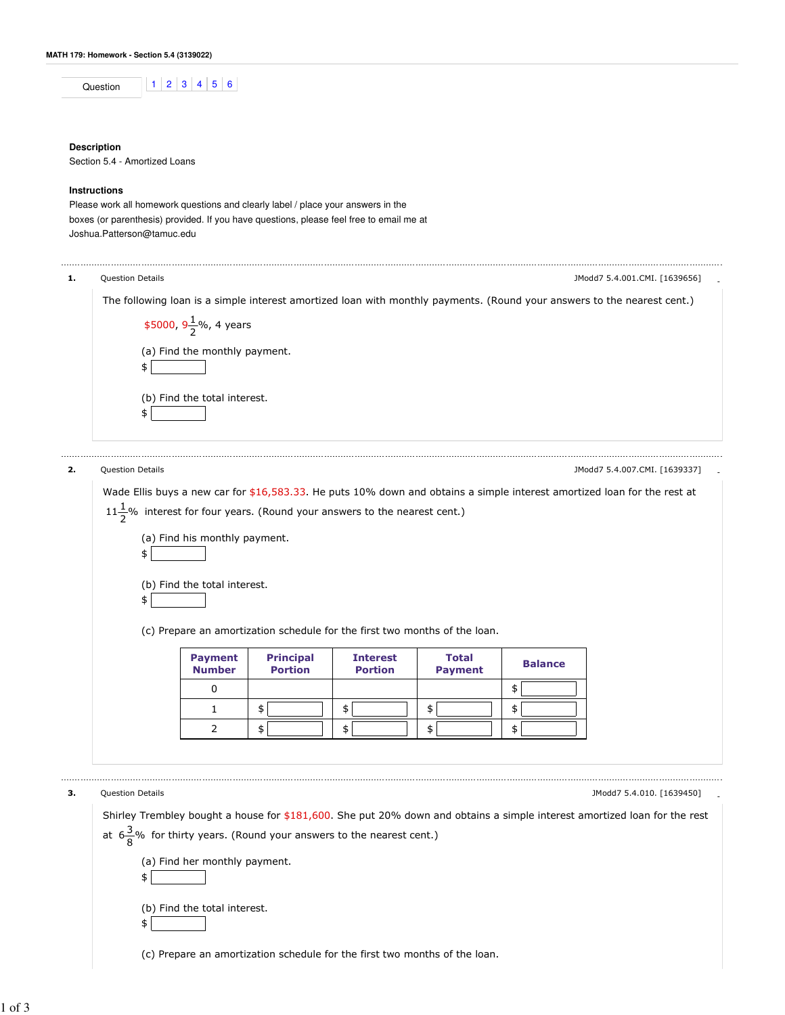| ٦n |  |  |  |
|----|--|--|--|
|    |  |  |  |

## **Description**

Section 5.4 - Amortized Loans

## **Instructions**

Please work all homework questions and clearly label / place your answers in the boxes (or parenthesis) provided. If you have questions, please feel free to email me at Joshua.Patterson@tamuc.edu

|    | <b>Question Details</b>      |                                                                      |                                                                                 |                                   |                                                                                                              |                      | JModd7 5.4.001.CMI. [1639656]                                                                                                                          |
|----|------------------------------|----------------------------------------------------------------------|---------------------------------------------------------------------------------|-----------------------------------|--------------------------------------------------------------------------------------------------------------|----------------------|--------------------------------------------------------------------------------------------------------------------------------------------------------|
|    | \$                           | \$5000, $9\frac{1}{2}$ %, 4 years<br>(a) Find the monthly payment.   |                                                                                 |                                   |                                                                                                              |                      | The following loan is a simple interest amortized loan with monthly payments. (Round your answers to the nearest cent.)                                |
|    | \$                           | (b) Find the total interest.                                         |                                                                                 |                                   |                                                                                                              |                      |                                                                                                                                                        |
| 2. | <b>Question Details</b>      |                                                                      |                                                                                 |                                   |                                                                                                              |                      | JModd7 5.4.007.CMI. [1639337]                                                                                                                          |
|    | \$<br>\$                     | (b) Find the total interest.<br><b>Payment</b><br><b>Number</b><br>0 | <b>Principal</b><br><b>Portion</b>                                              | <b>Interest</b><br><b>Portion</b> | (c) Prepare an amortization schedule for the first two months of the loan.<br><b>Total</b><br><b>Payment</b> | <b>Balance</b><br>\$ |                                                                                                                                                        |
|    |                              |                                                                      |                                                                                 |                                   |                                                                                                              |                      |                                                                                                                                                        |
|    |                              | 1                                                                    |                                                                                 | \$                                | \$                                                                                                           | \$                   |                                                                                                                                                        |
|    |                              | 2                                                                    | \$<br>\$                                                                        | \$                                | \$                                                                                                           | \$                   |                                                                                                                                                        |
| з. | Question Details<br>\$<br>\$ | (a) Find her monthly payment.<br>(b) Find the total interest.        | at $6\frac{3}{8}$ % for thirty years. (Round your answers to the nearest cent.) |                                   |                                                                                                              |                      | JModd7 5.4.010. [1639450]<br>Shirley Trembley bought a house for \$181,600. She put 20% down and obtains a simple interest amortized loan for the rest |
|    |                              |                                                                      |                                                                                 |                                   |                                                                                                              |                      |                                                                                                                                                        |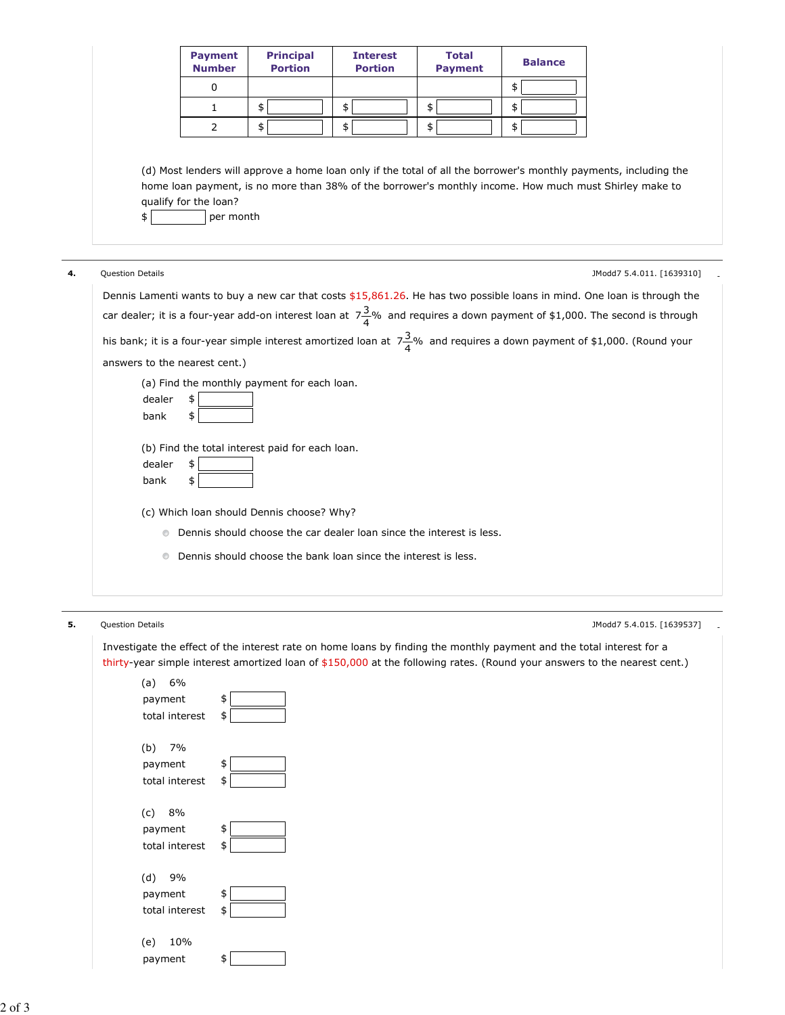|                         | <b>Payment</b><br><b>Number</b>    | <b>Principal</b><br><b>Portion</b>              | <b>Interest</b><br><b>Portion</b> | <b>Total</b><br><b>Payment</b>                                         | <b>Balance</b>                                                                                                                                                                                                                                                     |                           |
|-------------------------|------------------------------------|-------------------------------------------------|-----------------------------------|------------------------------------------------------------------------|--------------------------------------------------------------------------------------------------------------------------------------------------------------------------------------------------------------------------------------------------------------------|---------------------------|
|                         | 0                                  |                                                 |                                   |                                                                        | \$                                                                                                                                                                                                                                                                 |                           |
|                         | $\mathbf{1}$                       | \$                                              | \$                                | \$                                                                     | \$                                                                                                                                                                                                                                                                 |                           |
|                         | 2                                  | \$                                              | \$                                | \$                                                                     | \$                                                                                                                                                                                                                                                                 |                           |
| \$                      | qualify for the loan?<br>per month |                                                 |                                   |                                                                        | (d) Most lenders will approve a home loan only if the total of all the borrower's monthly payments, including the<br>home loan payment, is no more than 38% of the borrower's monthly income. How much must Shirley make to                                        |                           |
| <b>Question Details</b> |                                    |                                                 |                                   |                                                                        |                                                                                                                                                                                                                                                                    | JModd7 5.4.011. [1639310] |
|                         |                                    |                                                 |                                   |                                                                        | Dennis Lamenti wants to buy a new car that costs $$15,861.26$ . He has two possible loans in mind. One loan is through the<br>car dealer; it is a four-year add-on interest loan at $7\frac{3}{4}\%$ and requires a down payment of \$1,000. The second is through |                           |
|                         | answers to the nearest cent.)      | (a) Find the monthly payment for each loan.     |                                   |                                                                        | his bank; it is a four-year simple interest amortized loan at $7\frac{3}{4}\%$ and requires a down payment of \$1,000. (Round your                                                                                                                                 |                           |
| dealer<br>bank          | \$<br>\$                           |                                                 |                                   |                                                                        |                                                                                                                                                                                                                                                                    |                           |
| dealer<br>bank          | \$<br>\$                           | (b) Find the total interest paid for each loan. |                                   |                                                                        |                                                                                                                                                                                                                                                                    |                           |
|                         |                                    | (c) Which Ioan should Dennis choose? Why?       |                                   |                                                                        |                                                                                                                                                                                                                                                                    |                           |
|                         |                                    |                                                 |                                   | • Dennis should choose the car dealer loan since the interest is less. |                                                                                                                                                                                                                                                                    |                           |

**5.** Question Details - (1639537] . (1639537] . (1639537] . (1639537] . (1639537] . (1639537] . (1639537] . (1639537

Investigate the effect of the interest rate on home loans by finding the monthly payment and the total interest for a thirty-year simple interest amortized loan of \$150,000 at the following rates. (Round your answers to the nearest cent.)

| (a) 6%         |    |
|----------------|----|
| payment        | \$ |
| total interest | \$ |
| (b) 7%         |    |
| payment        | \$ |
| total interest | \$ |
|                |    |
| (c) 8%         |    |
| payment        | \$ |
| total interest | \$ |
|                |    |
| (d) 9%         |    |
| payment        | \$ |
| total interest | \$ |
|                |    |
| (e)<br>10%     |    |
| payment        | \$ |